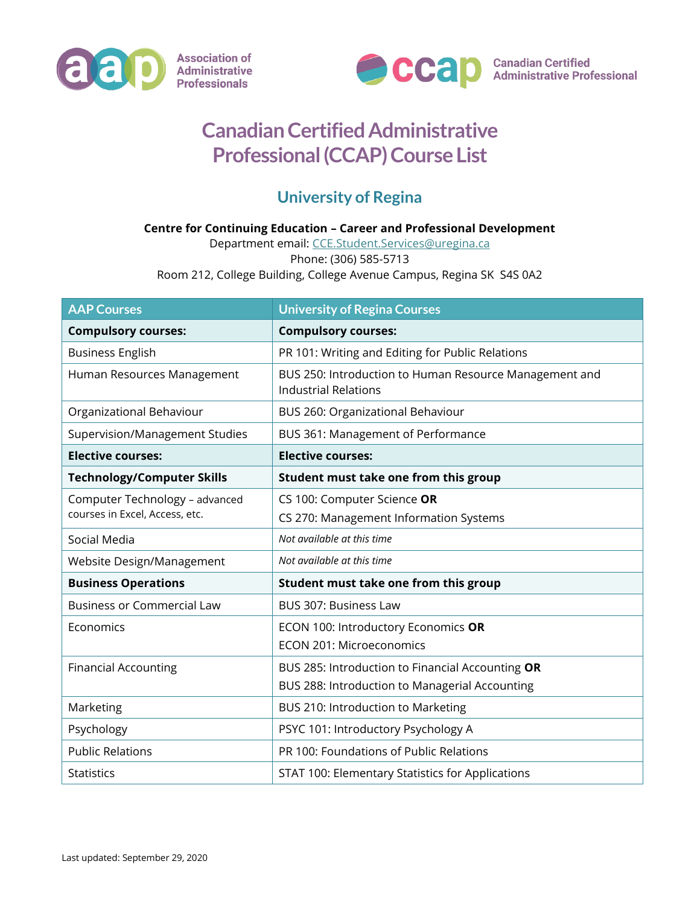



## **Canadian Certified Administrative Professional (CCAP) Course List**

## **University of Regina**

## **Centre for Continuing Education – Career and Professional Development**

Department email: [CCE.Student.Services@uregina.ca](mailto:CCE.Student.Services@uregina.ca) Phone: (306) 585-5713

Room 212, College Building, College Avenue Campus, Regina SK S4S 0A2

| <b>AAP Courses</b>                                               | <b>University of Regina Courses</b>                                                   |
|------------------------------------------------------------------|---------------------------------------------------------------------------------------|
| <b>Compulsory courses:</b>                                       | <b>Compulsory courses:</b>                                                            |
| <b>Business English</b>                                          | PR 101: Writing and Editing for Public Relations                                      |
| Human Resources Management                                       | BUS 250: Introduction to Human Resource Management and<br><b>Industrial Relations</b> |
| Organizational Behaviour                                         | BUS 260: Organizational Behaviour                                                     |
| Supervision/Management Studies                                   | BUS 361: Management of Performance                                                    |
| <b>Elective courses:</b>                                         | <b>Elective courses:</b>                                                              |
| <b>Technology/Computer Skills</b>                                | Student must take one from this group                                                 |
| Computer Technology - advanced<br>courses in Excel, Access, etc. | CS 100: Computer Science OR                                                           |
|                                                                  | CS 270: Management Information Systems                                                |
| Social Media                                                     | Not available at this time                                                            |
| Website Design/Management                                        | Not available at this time                                                            |
| <b>Business Operations</b>                                       | Student must take one from this group                                                 |
| <b>Business or Commercial Law</b>                                | BUS 307: Business Law                                                                 |
| Economics                                                        | ECON 100: Introductory Economics OR                                                   |
|                                                                  | <b>ECON 201: Microeconomics</b>                                                       |
| <b>Financial Accounting</b>                                      | BUS 285: Introduction to Financial Accounting OR                                      |
|                                                                  | BUS 288: Introduction to Managerial Accounting                                        |
| Marketing                                                        | BUS 210: Introduction to Marketing                                                    |
| Psychology                                                       | PSYC 101: Introductory Psychology A                                                   |
| <b>Public Relations</b>                                          | PR 100: Foundations of Public Relations                                               |
| <b>Statistics</b>                                                | STAT 100: Elementary Statistics for Applications                                      |